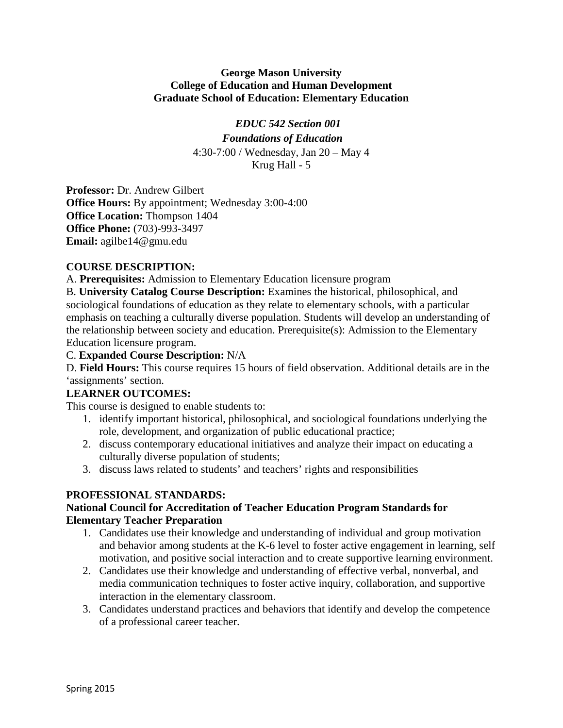### **George Mason University College of Education and Human Development Graduate School of Education: Elementary Education**

# *EDUC 542 Section 001*

*Foundations of Education* 4:30-7:00 / Wednesday, Jan 20 – May 4 Krug Hall - 5

**Professor:** Dr. Andrew Gilbert **Office Hours:** By appointment; Wednesday 3:00-4:00 **Office Location:** Thompson 1404 **Office Phone:** (703)-993-3497 **Email:** agilbe14@gmu.edu

# **COURSE DESCRIPTION:**

A. **Prerequisites:** Admission to Elementary Education licensure program

B. **University Catalog Course Description:** Examines the historical, philosophical, and sociological foundations of education as they relate to elementary schools, with a particular emphasis on teaching a culturally diverse population. Students will develop an understanding of the relationship between society and education. Prerequisite(s): Admission to the Elementary Education licensure program.

### C. **Expanded Course Description:** N/A

D. **Field Hours:** This course requires 15 hours of field observation. Additional details are in the 'assignments' section.

# **LEARNER OUTCOMES:**

This course is designed to enable students to:

- 1. identify important historical, philosophical, and sociological foundations underlying the role, development, and organization of public educational practice;
- 2. discuss contemporary educational initiatives and analyze their impact on educating a culturally diverse population of students;
- 3. discuss laws related to students' and teachers' rights and responsibilities

# **PROFESSIONAL STANDARDS:**

### **National Council for Accreditation of Teacher Education Program Standards for Elementary Teacher Preparation**

- 1. Candidates use their knowledge and understanding of individual and group motivation and behavior among students at the K-6 level to foster active engagement in learning, self motivation, and positive social interaction and to create supportive learning environment.
- 2. Candidates use their knowledge and understanding of effective verbal, nonverbal, and media communication techniques to foster active inquiry, collaboration, and supportive interaction in the elementary classroom.
- 3. Candidates understand practices and behaviors that identify and develop the competence of a professional career teacher.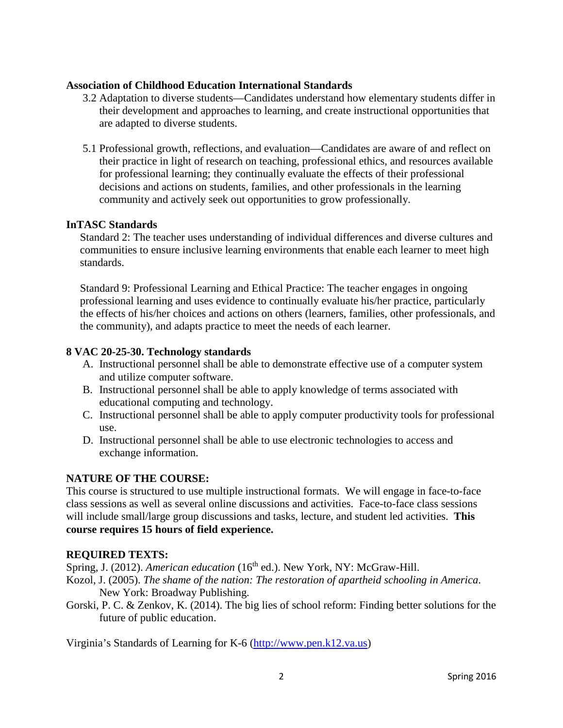### **Association of Childhood Education International Standards**

- 3.2 Adaptation to diverse students—Candidates understand how elementary students differ in their development and approaches to learning, and create instructional opportunities that are adapted to diverse students.
- 5.1 Professional growth, reflections, and evaluation—Candidates are aware of and reflect on their practice in light of research on teaching, professional ethics, and resources available for professional learning; they continually evaluate the effects of their professional decisions and actions on students, families, and other professionals in the learning community and actively seek out opportunities to grow professionally.

### **InTASC Standards**

Standard 2: The teacher uses understanding of individual differences and diverse cultures and communities to ensure inclusive learning environments that enable each learner to meet high standards.

Standard 9: Professional Learning and Ethical Practice: The teacher engages in ongoing professional learning and uses evidence to continually evaluate his/her practice, particularly the effects of his/her choices and actions on others (learners, families, other professionals, and the community), and adapts practice to meet the needs of each learner.

### **8 VAC 20-25-30. Technology standards**

- A. Instructional personnel shall be able to demonstrate effective use of a computer system and utilize computer software.
- B. Instructional personnel shall be able to apply knowledge of terms associated with educational computing and technology.
- C. Instructional personnel shall be able to apply computer productivity tools for professional use.
- D. Instructional personnel shall be able to use electronic technologies to access and exchange information.

# **NATURE OF THE COURSE:**

This course is structured to use multiple instructional formats. We will engage in face-to-face class sessions as well as several online discussions and activities. Face-to-face class sessions will include small/large group discussions and tasks, lecture, and student led activities. **This course requires 15 hours of field experience.** 

# **REQUIRED TEXTS:**

Spring, J. (2012). *American education* (16<sup>th</sup> ed.). New York, NY: McGraw-Hill.

- Kozol, J. (2005). *The shame of the nation: The restoration of apartheid schooling in America*. New York: Broadway Publishing.
- Gorski, P. C. & Zenkov, K. (2014). The big lies of school reform: Finding better solutions for the future of public education.

Virginia's Standards of Learning for K-6 [\(http://www.pen.k12.va.us\)](http://www.pen.k12.va.us/)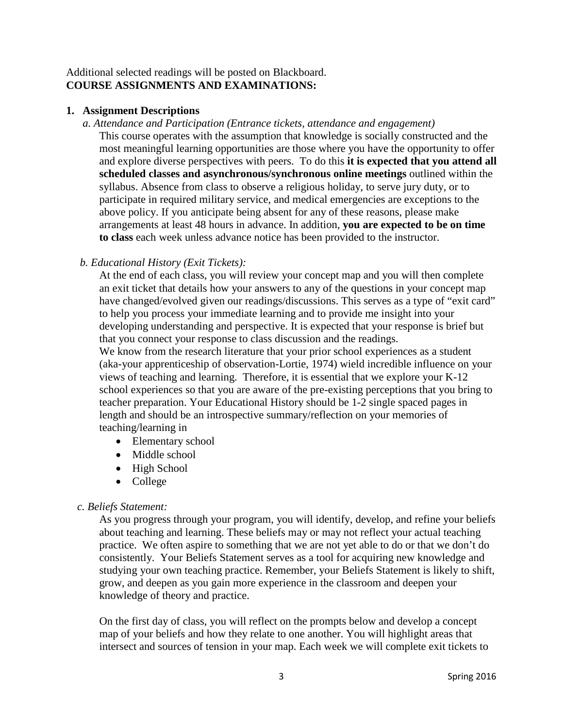# Additional selected readings will be posted on Blackboard. **COURSE ASSIGNMENTS AND EXAMINATIONS:**

#### **1. Assignment Descriptions**

 *a. Attendance and Participation (Entrance tickets, attendance and engagement)* This course operates with the assumption that knowledge is socially constructed and the most meaningful learning opportunities are those where you have the opportunity to offer and explore diverse perspectives with peers. To do this **it is expected that you attend all scheduled classes and asynchronous/synchronous online meetings** outlined within the syllabus. Absence from class to observe a religious holiday, to serve jury duty, or to participate in required military service, and medical emergencies are exceptions to the above policy. If you anticipate being absent for any of these reasons, please make arrangements at least 48 hours in advance. In addition, **you are expected to be on time to class** each week unless advance notice has been provided to the instructor.

### *b. Educational History (Exit Tickets):*

At the end of each class, you will review your concept map and you will then complete an exit ticket that details how your answers to any of the questions in your concept map have changed/evolved given our readings/discussions. This serves as a type of "exit card" to help you process your immediate learning and to provide me insight into your developing understanding and perspective. It is expected that your response is brief but that you connect your response to class discussion and the readings.

We know from the research literature that your prior school experiences as a student (aka-your apprenticeship of observation-Lortie, 1974) wield incredible influence on your views of teaching and learning. Therefore, it is essential that we explore your K-12 school experiences so that you are aware of the pre-existing perceptions that you bring to teacher preparation. Your Educational History should be 1-2 single spaced pages in length and should be an introspective summary/reflection on your memories of teaching/learning in

- Elementary school
- Middle school
- High School
- College

### *c. Beliefs Statement:*

As you progress through your program, you will identify, develop, and refine your beliefs about teaching and learning. These beliefs may or may not reflect your actual teaching practice. We often aspire to something that we are not yet able to do or that we don't do consistently. Your Beliefs Statement serves as a tool for acquiring new knowledge and studying your own teaching practice. Remember, your Beliefs Statement is likely to shift, grow, and deepen as you gain more experience in the classroom and deepen your knowledge of theory and practice.

On the first day of class, you will reflect on the prompts below and develop a concept map of your beliefs and how they relate to one another. You will highlight areas that intersect and sources of tension in your map. Each week we will complete exit tickets to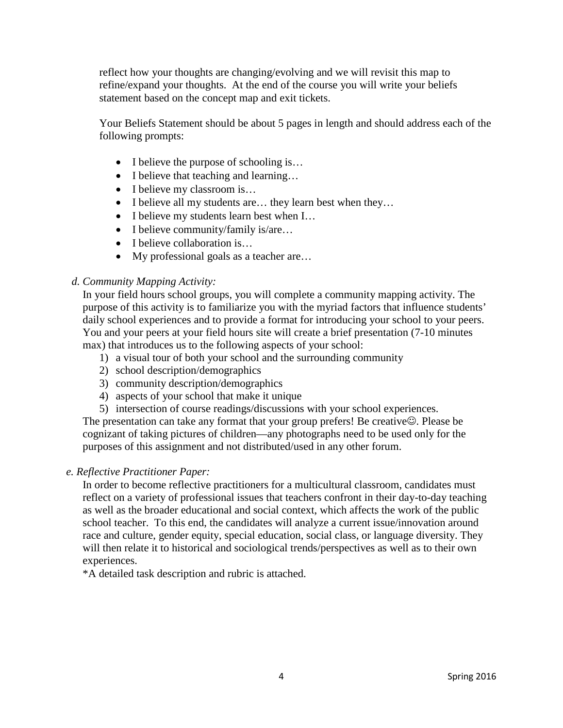reflect how your thoughts are changing/evolving and we will revisit this map to refine/expand your thoughts. At the end of the course you will write your beliefs statement based on the concept map and exit tickets.

Your Beliefs Statement should be about 5 pages in length and should address each of the following prompts:

- I believe the purpose of schooling is...
- I believe that teaching and learning...
- I believe my classroom is...
- I believe all my students are... they learn best when they...
- I believe my students learn best when I…
- I believe community/family is/are...
- I believe collaboration is...
- My professional goals as a teacher are...

# *d. Community Mapping Activity:*

In your field hours school groups, you will complete a community mapping activity. The purpose of this activity is to familiarize you with the myriad factors that influence students' daily school experiences and to provide a format for introducing your school to your peers. You and your peers at your field hours site will create a brief presentation (7-10 minutes max) that introduces us to the following aspects of your school:

- 1) a visual tour of both your school and the surrounding community
- 2) school description/demographics
- 3) community description/demographics
- 4) aspects of your school that make it unique
- 5) intersection of course readings/discussions with your school experiences.

The presentation can take any format that your group prefers! Be creative $\odot$ . Please be cognizant of taking pictures of children—any photographs need to be used only for the purposes of this assignment and not distributed/used in any other forum.

# *e. Reflective Practitioner Paper:*

In order to become reflective practitioners for a multicultural classroom, candidates must reflect on a variety of professional issues that teachers confront in their day-to-day teaching as well as the broader educational and social context, which affects the work of the public school teacher. To this end, the candidates will analyze a current issue/innovation around race and culture, gender equity, special education, social class, or language diversity. They will then relate it to historical and sociological trends/perspectives as well as to their own experiences.

\*A detailed task description and rubric is attached.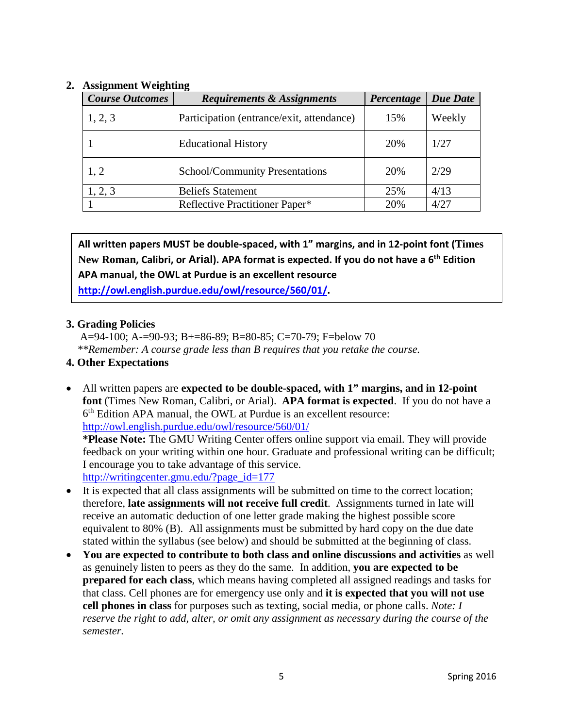# **2. Assignment Weighting**

| <b>Course Outcomes</b> | <b>Requirements &amp; Assignments</b>     | Percentage | <b>Due Date</b> |
|------------------------|-------------------------------------------|------------|-----------------|
| 1, 2, 3                | Participation (entrance/exit, attendance) | 15%        | Weekly          |
|                        | <b>Educational History</b>                | 20%        | 1/27            |
| 1, 2                   | <b>School/Community Presentations</b>     | 20%        | 2/29            |
| 1, 2, 3                | <b>Beliefs Statement</b>                  | 25%        | 4/13            |
|                        | Reflective Practitioner Paper*            | 20%        | 4/27            |

**All written papers MUST be double-spaced, with 1" margins, and in 12-point font (Times New Roman, Calibri, or Arial). APA format is expected. If you do not have a 6th Edition APA manual, the OWL at Purdue is an excellent resource [http://owl.english.purdue.edu/owl/resource/560/01/.](http://owl.english.purdue.edu/owl/resource/560/01/)**

### **3. Grading Policies**

 A=94-100; A-=90-93; B+=86-89; B=80-85; C=70-79; F=below 70  *\*\*Remember: A course grade less than B requires that you retake the course.*

### **4. Other Expectations**

- All written papers are **expected to be double-spaced, with 1" margins, and in 12-point font** (Times New Roman, Calibri, or Arial). **APA format is expected**. If you do not have a 6th Edition APA manual, the OWL at Purdue is an excellent resource: <http://owl.english.purdue.edu/owl/resource/560/01/> **\*Please Note:** The GMU Writing Center offers online support via email. They will provide feedback on your writing within one hour. Graduate and professional writing can be difficult; I encourage you to take advantage of this service. [http://writingcenter.gmu.edu/?page\\_id=177](http://writingcenter.gmu.edu/?page_id=177)
- It is expected that all class assignments will be submitted on time to the correct location; therefore, **late assignments will not receive full credit**. Assignments turned in late will receive an automatic deduction of one letter grade making the highest possible score equivalent to 80% (B). All assignments must be submitted by hard copy on the due date stated within the syllabus (see below) and should be submitted at the beginning of class.
- **You are expected to contribute to both class and online discussions and activities** as well as genuinely listen to peers as they do the same. In addition, **you are expected to be prepared for each class**, which means having completed all assigned readings and tasks for that class. Cell phones are for emergency use only and **it is expected that you will not use cell phones in class** for purposes such as texting, social media, or phone calls. *Note: I reserve the right to add, alter, or omit any assignment as necessary during the course of the semester.*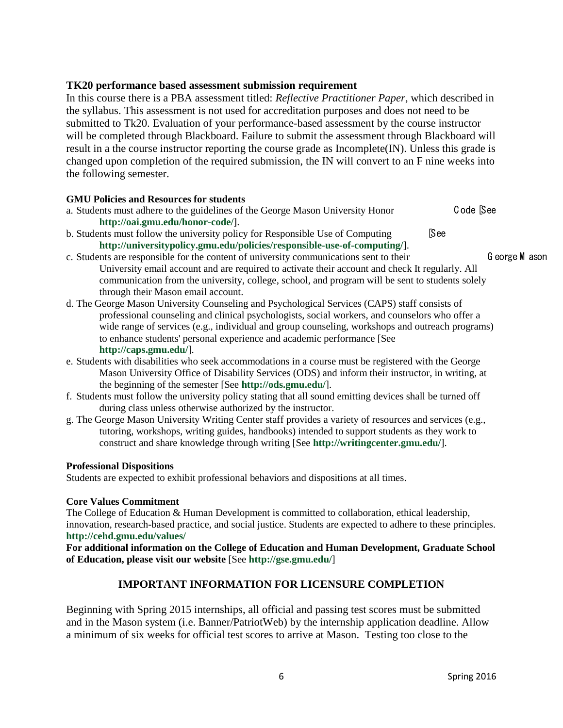#### **TK20 performance based assessment submission requirement**

In this course there is a PBA assessment titled: *Reflective Practitioner Paper*, which described in the syllabus. This assessment is not used for accreditation purposes and does not need to be submitted to Tk20. Evaluation of your performance-based assessment by the course instructor will be completed through Blackboard. Failure to submit the assessment through Blackboard will result in a the course instructor reporting the course grade as Incomplete(IN). Unless this grade is changed upon completion of the required submission, the IN will convert to an F nine weeks into the following semester.

#### **GMU Policies and Resources for students**

- a. Students must adhere to the guidelines of the George Mason University Honor C ode [See **http://oai.gmu.edu/honor-code/**].
- b. Students must follow the university policy for Responsible Use of Computing [See **http://universitypolicy.gmu.edu/policies/responsible-use-of-computing/**].

- c. Students are responsible for the content of university communications sent to their George M ason University email account and are required to activate their account and check It regularly. All communication from the university, college, school, and program will be sent to students solely through their Mason email account.
- d. The George Mason University Counseling and Psychological Services (CAPS) staff consists of professional counseling and clinical psychologists, social workers, and counselors who offer a wide range of services (e.g., individual and group counseling, workshops and outreach programs) to enhance students' personal experience and academic performance [See **http://caps.gmu.edu/**].
- e. Students with disabilities who seek accommodations in a course must be registered with the George Mason University Office of Disability Services (ODS) and inform their instructor, in writing, at the beginning of the semester [See **http://ods.gmu.edu/**].
- f. Students must follow the university policy stating that all sound emitting devices shall be turned off during class unless otherwise authorized by the instructor.
- g. The George Mason University Writing Center staff provides a variety of resources and services (e.g., tutoring, workshops, writing guides, handbooks) intended to support students as they work to construct and share knowledge through writing [See **http://writingcenter.gmu.edu/**].

#### **Professional Dispositions**

Students are expected to exhibit professional behaviors and dispositions at all times.

#### **Core Values Commitment**

The College of Education & Human Development is committed to collaboration, ethical leadership, innovation, research-based practice, and social justice. Students are expected to adhere to these principles. **http://cehd.gmu.edu/values/** 

**For additional information on the College of Education and Human Development, Graduate School of Education, please visit our website** [See **http://gse.gmu.edu/**]

### **IMPORTANT INFORMATION FOR LICENSURE COMPLETION**

Beginning with Spring 2015 internships, all official and passing test scores must be submitted and in the Mason system (i.e. Banner/PatriotWeb) by the internship application deadline. Allow a minimum of six weeks for official test scores to arrive at Mason. Testing too close to the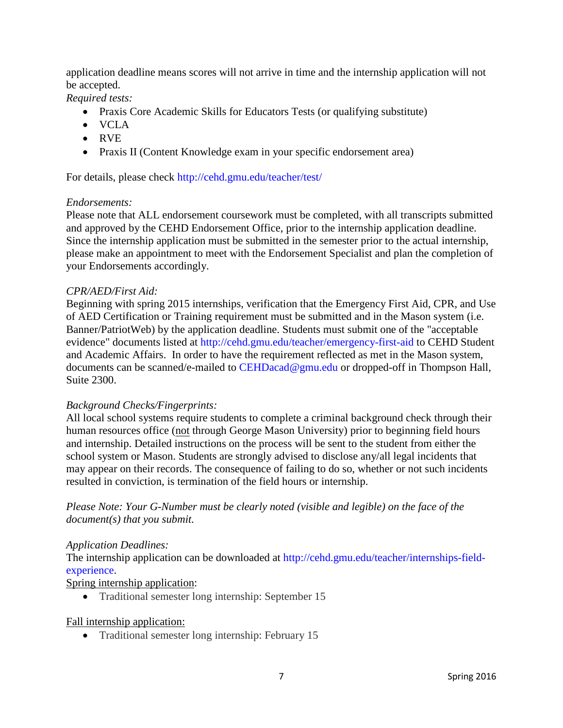application deadline means scores will not arrive in time and the internship application will not be accepted.

*Required tests:*

- Praxis Core Academic Skills for Educators Tests (or qualifying substitute)
- VCLA
- RVE
- Praxis II (Content Knowledge exam in your specific endorsement area)

For details, please check<http://cehd.gmu.edu/teacher/test/>

#### *Endorsements:*

Please note that ALL endorsement coursework must be completed, with all transcripts submitted and approved by the CEHD Endorsement Office, prior to the internship application deadline. Since the internship application must be submitted in the semester prior to the actual internship, please make an appointment to meet with the Endorsement Specialist and plan the completion of your Endorsements accordingly.

#### *CPR/AED/First Aid:*

Beginning with spring 2015 internships, verification that the Emergency First Aid, CPR, and Use of AED Certification or Training requirement must be submitted and in the Mason system (i.e. Banner/PatriotWeb) by the application deadline. Students must submit one of the "acceptable evidence" documents listed at<http://cehd.gmu.edu/teacher/emergency-first-aid> to CEHD Student and Academic Affairs. In order to have the requirement reflected as met in the Mason system, documents can be scanned/e-mailed to [CEHDacad@gmu.edu](mailto:cehdacad@gmu.edu) or dropped-off in Thompson Hall, Suite 2300.

### *Background Checks/Fingerprints:*

All local school systems require students to complete a criminal background check through their human resources office (not through George Mason University) prior to beginning field hours and internship. Detailed instructions on the process will be sent to the student from either the school system or Mason. Students are strongly advised to disclose any/all legal incidents that may appear on their records. The consequence of failing to do so, whether or not such incidents resulted in conviction, is termination of the field hours or internship.

*Please Note: Your G-Number must be clearly noted (visible and legible) on the face of the document(s) that you submit.*

#### *Application Deadlines:*

The internship application can be downloaded at [http://cehd.gmu.edu/teacher/internships-field](http://cehd.gmu.edu/teacher/internships-field-experience)[experience.](http://cehd.gmu.edu/teacher/internships-field-experience)

#### Spring internship application:

• Traditional semester long internship: September 15

#### Fall internship application:

• Traditional semester long internship: February 15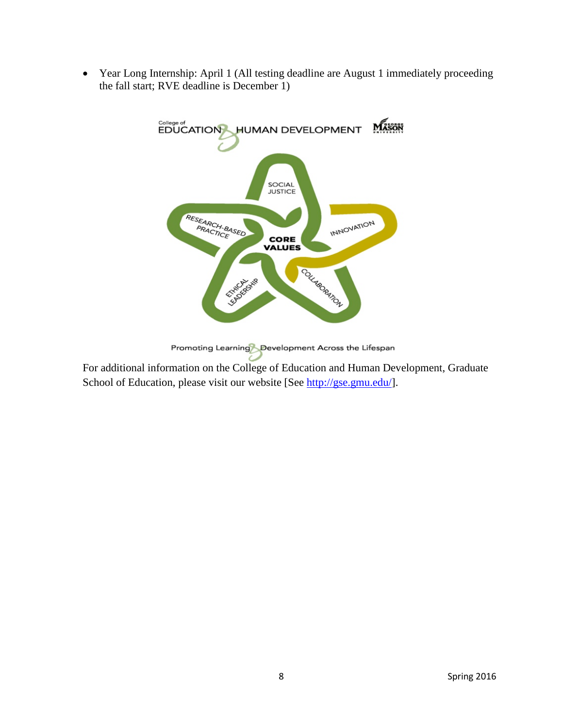• Year Long Internship: April 1 (All testing deadline are August 1 immediately proceeding the fall start; RVE deadline is December 1)



Promoting Learning Development Across the Lifespan

For additional information on the College of Education and Human Development, Graduate School of Education, please visit our website [See [http://gse.gmu.edu/\]](http://gse.gmu.edu/).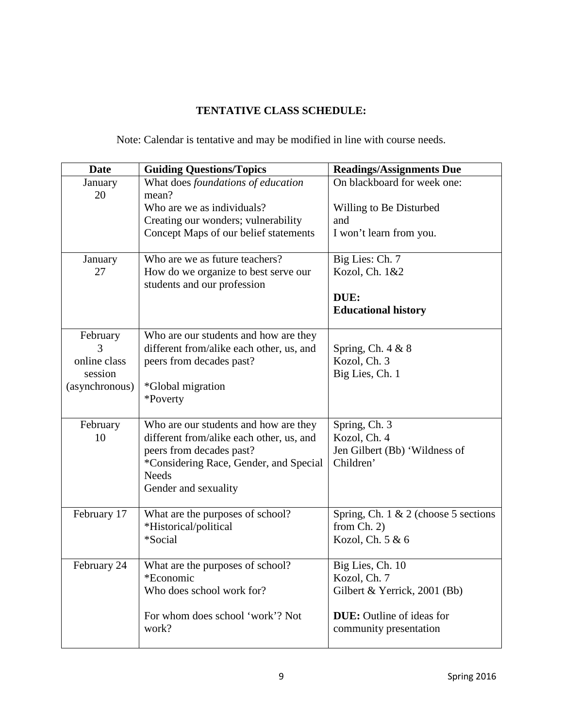# **TENTATIVE CLASS SCHEDULE:**

Note: Calendar is tentative and may be modified in line with course needs.

| <b>Date</b>    | <b>Guiding Questions/Topics</b>                        | <b>Readings/Assignments Due</b>         |
|----------------|--------------------------------------------------------|-----------------------------------------|
| January        | What does foundations of education                     | On blackboard for week one:             |
| 20             | mean?<br>Who are we as individuals?                    |                                         |
|                | Creating our wonders; vulnerability                    | Willing to Be Disturbed<br>and          |
|                | Concept Maps of our belief statements                  | I won't learn from you.                 |
|                |                                                        |                                         |
| January        | Who are we as future teachers?                         | Big Lies: Ch. 7                         |
| 27             | How do we organize to best serve our                   | Kozol, Ch. 1&2                          |
|                | students and our profession                            |                                         |
|                |                                                        | DUE:<br><b>Educational history</b>      |
|                |                                                        |                                         |
| February       | Who are our students and how are they                  |                                         |
|                | different from/alike each other, us, and               | Spring, Ch. $4 & 8$                     |
| online class   | peers from decades past?                               | Kozol, Ch. 3                            |
| session        |                                                        | Big Lies, Ch. 1                         |
| (asynchronous) | *Global migration<br>*Poverty                          |                                         |
|                |                                                        |                                         |
| February       | Who are our students and how are they                  | Spring, Ch. 3                           |
| 10             | different from/alike each other, us, and               | Kozol, Ch. 4                            |
|                | peers from decades past?                               | Jen Gilbert (Bb) 'Wildness of           |
|                | *Considering Race, Gender, and Special<br><b>Needs</b> | Children'                               |
|                | Gender and sexuality                                   |                                         |
|                |                                                        |                                         |
| February 17    | What are the purposes of school?                       | Spring, Ch. $1 \& 2$ (choose 5 sections |
|                | *Historical/political                                  | from Ch. 2)                             |
|                | *Social                                                | Kozol, Ch. 5 & 6                        |
| February 24    | What are the purposes of school?                       | Big Lies, Ch. 10                        |
|                | *Economic                                              | Kozol, Ch. 7                            |
|                | Who does school work for?                              | Gilbert & Yerrick, 2001 (Bb)            |
|                | For whom does school 'work'? Not                       | <b>DUE:</b> Outline of ideas for        |
|                | work?                                                  | community presentation                  |
|                |                                                        |                                         |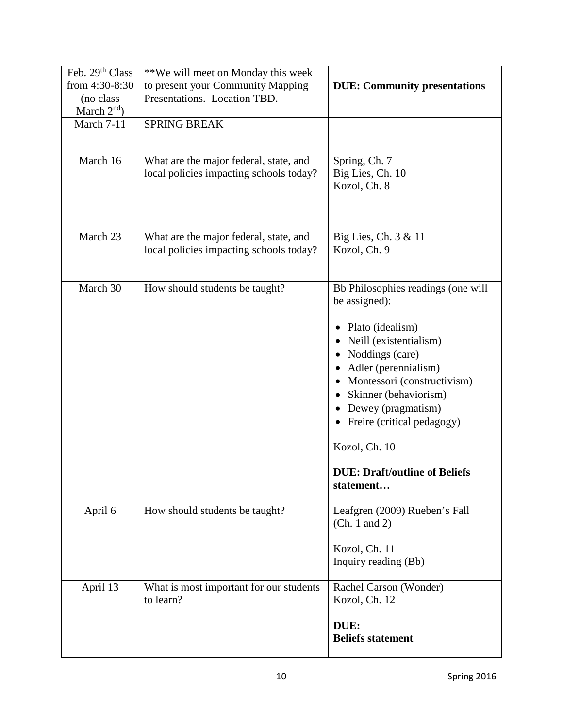| Feb. 29th Class | **We will meet on Monday this week      |                                      |
|-----------------|-----------------------------------------|--------------------------------------|
| from 4:30-8:30  | to present your Community Mapping       | <b>DUE: Community presentations</b>  |
| (no class       | Presentations. Location TBD.            |                                      |
| March $2nd$ )   |                                         |                                      |
| March 7-11      | <b>SPRING BREAK</b>                     |                                      |
|                 |                                         |                                      |
|                 |                                         |                                      |
| March 16        | What are the major federal, state, and  | Spring, Ch. 7                        |
|                 | local policies impacting schools today? | Big Lies, Ch. 10                     |
|                 |                                         | Kozol, Ch. 8                         |
|                 |                                         |                                      |
|                 |                                         |                                      |
| March $23$      |                                         |                                      |
|                 | What are the major federal, state, and  | Big Lies, Ch. 3 & 11<br>Kozol, Ch. 9 |
|                 | local policies impacting schools today? |                                      |
|                 |                                         |                                      |
| March 30        | How should students be taught?          | Bb Philosophies readings (one will   |
|                 |                                         | be assigned):                        |
|                 |                                         |                                      |
|                 |                                         | Plato (idealism)<br>$\bullet$        |
|                 |                                         | Neill (existentialism)               |
|                 |                                         | Noddings (care)                      |
|                 |                                         | • Adler (perennialism)               |
|                 |                                         | Montessori (constructivism)          |
|                 |                                         | Skinner (behaviorism)                |
|                 |                                         |                                      |
|                 |                                         | Dewey (pragmatism)                   |
|                 |                                         | Freire (critical pedagogy)           |
|                 |                                         | Kozol, Ch. 10                        |
|                 |                                         |                                      |
|                 |                                         | <b>DUE: Draft/outline of Beliefs</b> |
|                 |                                         | statement                            |
|                 |                                         |                                      |
| April 6         | How should students be taught?          | Leafgren (2009) Rueben's Fall        |
|                 |                                         | (Ch. 1 and 2)                        |
|                 |                                         |                                      |
|                 |                                         | Kozol, Ch. 11                        |
|                 |                                         | Inquiry reading (Bb)                 |
|                 |                                         |                                      |
| April 13        | What is most important for our students | Rachel Carson (Wonder)               |
|                 | to learn?                               | Kozol, Ch. 12                        |
|                 |                                         | DUE:                                 |
|                 |                                         | <b>Beliefs statement</b>             |
|                 |                                         |                                      |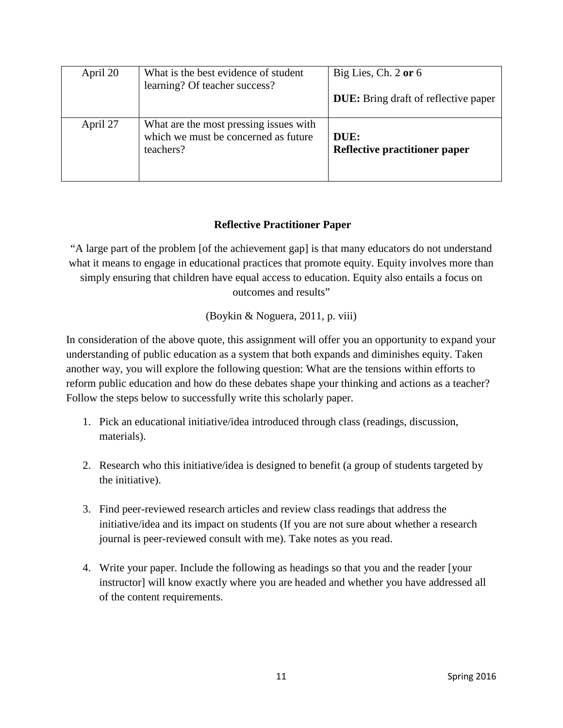| April 20 | What is the best evidence of student<br>learning? Of teacher success?                       | Big Lies, Ch. 2 or 6<br><b>DUE:</b> Bring draft of reflective paper |
|----------|---------------------------------------------------------------------------------------------|---------------------------------------------------------------------|
| April 27 | What are the most pressing issues with<br>which we must be concerned as future<br>teachers? | DUE:<br><b>Reflective practitioner paper</b>                        |

# **Reflective Practitioner Paper**

"A large part of the problem [of the achievement gap] is that many educators do not understand what it means to engage in educational practices that promote equity. Equity involves more than simply ensuring that children have equal access to education. Equity also entails a focus on outcomes and results"

(Boykin & Noguera, 2011, p. viii)

In consideration of the above quote, this assignment will offer you an opportunity to expand your understanding of public education as a system that both expands and diminishes equity. Taken another way, you will explore the following question: What are the tensions within efforts to reform public education and how do these debates shape your thinking and actions as a teacher? Follow the steps below to successfully write this scholarly paper.

- 1. Pick an educational initiative/idea introduced through class (readings, discussion, materials).
- 2. Research who this initiative/idea is designed to benefit (a group of students targeted by the initiative).
- 3. Find peer-reviewed research articles and review class readings that address the initiative/idea and its impact on students (If you are not sure about whether a research journal is peer-reviewed consult with me). Take notes as you read.
- 4. Write your paper. Include the following as headings so that you and the reader [your instructor] will know exactly where you are headed and whether you have addressed all of the content requirements.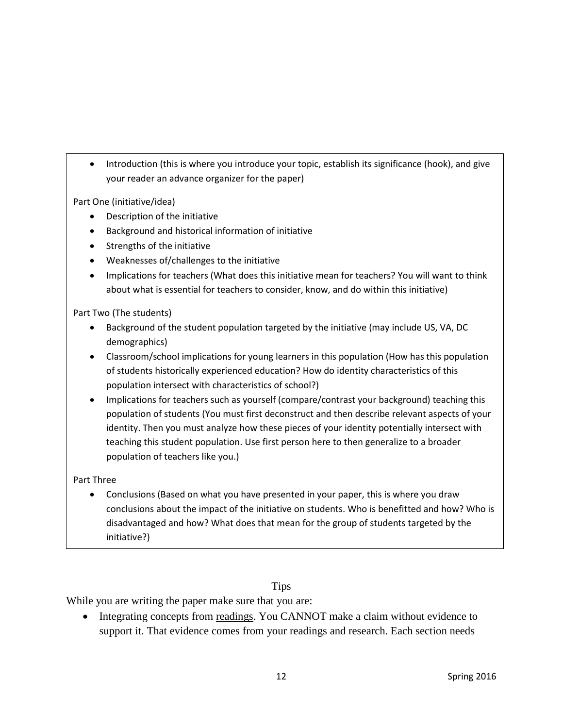• Introduction (this is where you introduce your topic, establish its significance (hook), and give your reader an advance organizer for the paper)

Part One (initiative/idea)

- Description of the initiative
- Background and historical information of initiative
- Strengths of the initiative
- Weaknesses of/challenges to the initiative
- Implications for teachers (What does this initiative mean for teachers? You will want to think about what is essential for teachers to consider, know, and do within this initiative)

#### Part Two (The students)

- Background of the student population targeted by the initiative (may include US, VA, DC demographics)
- Classroom/school implications for young learners in this population (How has this population of students historically experienced education? How do identity characteristics of this population intersect with characteristics of school?)
- Implications for teachers such as yourself (compare/contrast your background) teaching this population of students (You must first deconstruct and then describe relevant aspects of your identity. Then you must analyze how these pieces of your identity potentially intersect with teaching this student population. Use first person here to then generalize to a broader population of teachers like you.)

#### Part Three

• Conclusions (Based on what you have presented in your paper, this is where you draw conclusions about the impact of the initiative on students. Who is benefitted and how? Who is disadvantaged and how? What does that mean for the group of students targeted by the initiative?)

### Tips

While you are writing the paper make sure that you are:

• Integrating concepts from readings. You CANNOT make a claim without evidence to support it. That evidence comes from your readings and research. Each section needs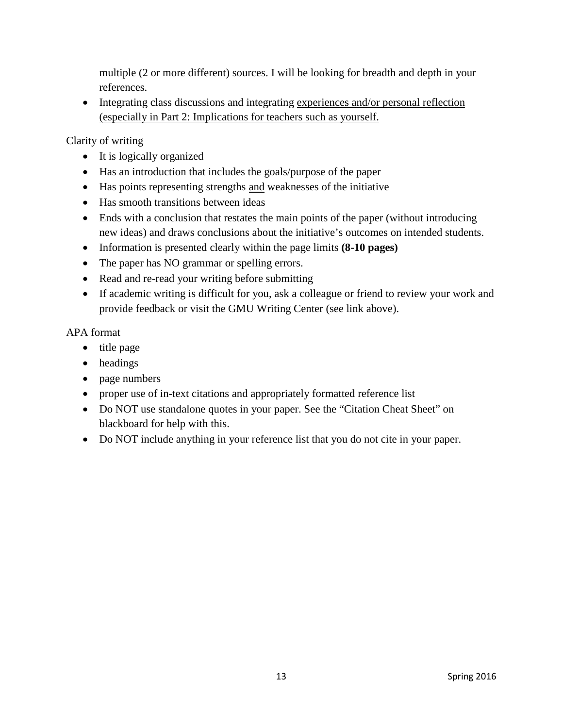multiple (2 or more different) sources. I will be looking for breadth and depth in your references.

• Integrating class discussions and integrating experiences and/or personal reflection (especially in Part 2: Implications for teachers such as yourself.

Clarity of writing

- It is logically organized
- Has an introduction that includes the goals/purpose of the paper
- Has points representing strengths and weaknesses of the initiative
- Has smooth transitions between ideas
- Ends with a conclusion that restates the main points of the paper (without introducing new ideas) and draws conclusions about the initiative's outcomes on intended students.
- Information is presented clearly within the page limits **(8-10 pages)**
- The paper has NO grammar or spelling errors.
- Read and re-read your writing before submitting
- If academic writing is difficult for you, ask a colleague or friend to review your work and provide feedback or visit the GMU Writing Center (see link above).

APA format

- title page
- headings
- page numbers
- proper use of in-text citations and appropriately formatted reference list
- Do NOT use standalone quotes in your paper. See the "Citation Cheat Sheet" on blackboard for help with this.
- Do NOT include anything in your reference list that you do not cite in your paper.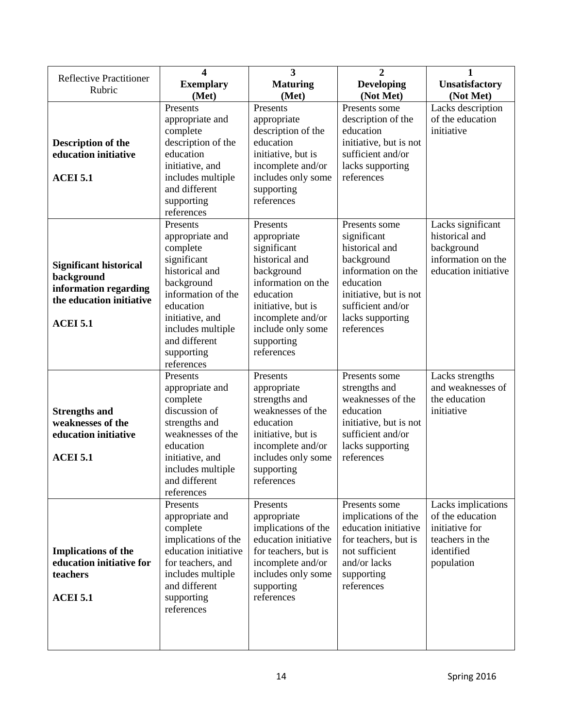| <b>Reflective Practitioner</b>                                                                                      | 4                                                                                                                                                                                                              | $\overline{\mathbf{3}}$                                                                                                                                                                               | $\overline{2}$                                                                                                                                                                   | 1                                                                                                       |
|---------------------------------------------------------------------------------------------------------------------|----------------------------------------------------------------------------------------------------------------------------------------------------------------------------------------------------------------|-------------------------------------------------------------------------------------------------------------------------------------------------------------------------------------------------------|----------------------------------------------------------------------------------------------------------------------------------------------------------------------------------|---------------------------------------------------------------------------------------------------------|
| Rubric                                                                                                              | <b>Exemplary</b>                                                                                                                                                                                               | <b>Maturing</b>                                                                                                                                                                                       | <b>Developing</b>                                                                                                                                                                | <b>Unsatisfactory</b>                                                                                   |
|                                                                                                                     | (Met)                                                                                                                                                                                                          | (Met)                                                                                                                                                                                                 | (Not Met)                                                                                                                                                                        | (Not Met)                                                                                               |
| <b>Description of the</b><br>education initiative<br><b>ACEI 5.1</b>                                                | Presents<br>appropriate and<br>complete<br>description of the<br>education<br>initiative, and<br>includes multiple<br>and different<br>supporting<br>references                                                | Presents<br>appropriate<br>description of the<br>education<br>initiative, but is<br>incomplete and/or<br>includes only some<br>supporting<br>references                                               | Presents some<br>description of the<br>education<br>initiative, but is not<br>sufficient and/or<br>lacks supporting<br>references                                                | Lacks description<br>of the education<br>initiative                                                     |
| <b>Significant historical</b><br>background<br>information regarding<br>the education initiative<br><b>ACEI 5.1</b> | Presents<br>appropriate and<br>complete<br>significant<br>historical and<br>background<br>information of the<br>education<br>initiative, and<br>includes multiple<br>and different<br>supporting<br>references | Presents<br>appropriate<br>significant<br>historical and<br>background<br>information on the<br>education<br>initiative, but is<br>incomplete and/or<br>include only some<br>supporting<br>references | Presents some<br>significant<br>historical and<br>background<br>information on the<br>education<br>initiative, but is not<br>sufficient and/or<br>lacks supporting<br>references | Lacks significant<br>historical and<br>background<br>information on the<br>education initiative         |
| <b>Strengths and</b><br>weaknesses of the<br>education initiative<br><b>ACEI 5.1</b>                                | Presents<br>appropriate and<br>complete<br>discussion of<br>strengths and<br>weaknesses of the<br>education<br>initiative, and<br>includes multiple<br>and different<br>references                             | Presents<br>appropriate<br>strengths and<br>weaknesses of the<br>education<br>initiative, but is<br>incomplete and/or<br>includes only some<br>supporting<br>references                               | Presents some<br>strengths and<br>weaknesses of the<br>education<br>initiative, but is not<br>sufficient and/or<br>lacks supporting<br>references                                | Lacks strengths<br>and weaknesses of<br>the education<br>initiative                                     |
| <b>Implications of the</b><br>education initiative for<br>teachers<br><b>ACEI 5.1</b>                               | Presents<br>appropriate and<br>complete<br>implications of the<br>education initiative<br>for teachers, and<br>includes multiple<br>and different<br>supporting<br>references                                  | Presents<br>appropriate<br>implications of the<br>education initiative<br>for teachers, but is<br>incomplete and/or<br>includes only some<br>supporting<br>references                                 | Presents some<br>implications of the<br>education initiative<br>for teachers, but is<br>not sufficient<br>and/or lacks<br>supporting<br>references                               | Lacks implications<br>of the education<br>initiative for<br>teachers in the<br>identified<br>population |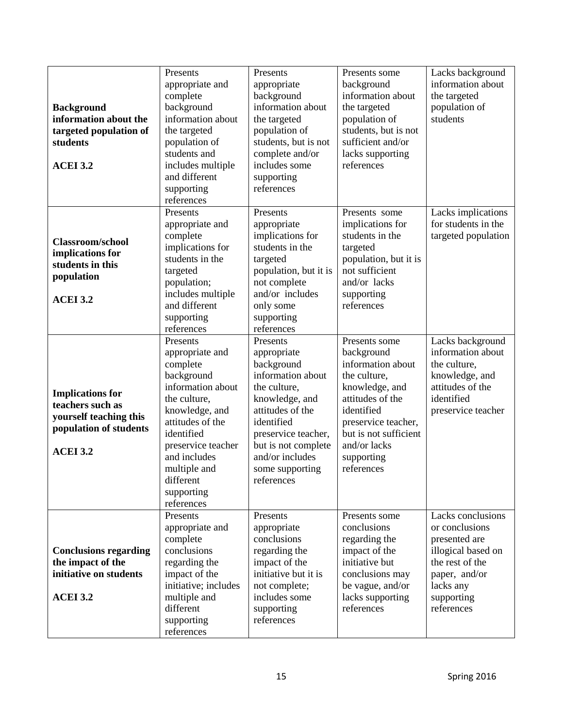| <b>Background</b><br>information about the<br>targeted population of<br>students<br><b>ACEI 3.2</b>                | Presents<br>appropriate and<br>complete<br>background<br>information about<br>the targeted<br>population of<br>students and<br>includes multiple<br>and different<br>supporting<br>references                                                 | Presents<br>appropriate<br>background<br>information about<br>the targeted<br>population of<br>students, but is not<br>complete and/or<br>includes some<br>supporting<br>references                                              | Presents some<br>background<br>information about<br>the targeted<br>population of<br>students, but is not<br>sufficient and/or<br>lacks supporting<br>references                                                 | Lacks background<br>information about<br>the targeted<br>population of<br>students                                                                      |
|--------------------------------------------------------------------------------------------------------------------|-----------------------------------------------------------------------------------------------------------------------------------------------------------------------------------------------------------------------------------------------|----------------------------------------------------------------------------------------------------------------------------------------------------------------------------------------------------------------------------------|------------------------------------------------------------------------------------------------------------------------------------------------------------------------------------------------------------------|---------------------------------------------------------------------------------------------------------------------------------------------------------|
| <b>Classroom/school</b><br>implications for<br>students in this<br>population<br><b>ACEI 3.2</b>                   | Presents<br>appropriate and<br>complete<br>implications for<br>students in the<br>targeted<br>population;<br>includes multiple<br>and different<br>supporting<br>references                                                                   | Presents<br>appropriate<br>implications for<br>students in the<br>targeted<br>population, but it is<br>not complete<br>and/or includes<br>only some<br>supporting<br>references                                                  | Presents some<br>implications for<br>students in the<br>targeted<br>population, but it is<br>not sufficient<br>and/or lacks<br>supporting<br>references                                                          | Lacks implications<br>for students in the<br>targeted population                                                                                        |
| <b>Implications</b> for<br>teachers such as<br>yourself teaching this<br>population of students<br><b>ACEI 3.2</b> | Presents<br>appropriate and<br>complete<br>background<br>information about<br>the culture,<br>knowledge, and<br>attitudes of the<br>identified<br>preservice teacher<br>and includes<br>multiple and<br>different<br>supporting<br>references | Presents<br>appropriate<br>background<br>information about<br>the culture,<br>knowledge, and<br>attitudes of the<br>identified<br>preservice teacher,<br>but is not complete<br>and/or includes<br>some supporting<br>references | Presents some<br>background<br>information about<br>the culture,<br>knowledge, and<br>attitudes of the<br>identified<br>preservice teacher,<br>but is not sufficient<br>and/or lacks<br>supporting<br>references | Lacks background<br>information about<br>the culture,<br>knowledge, and<br>attitudes of the<br>identified<br>preservice teacher                         |
| <b>Conclusions regarding</b><br>the impact of the<br>initiative on students<br><b>ACEI 3.2</b>                     | Presents<br>appropriate and<br>complete<br>conclusions<br>regarding the<br>impact of the<br>initiative; includes<br>multiple and<br>different<br>supporting<br>references                                                                     | Presents<br>appropriate<br>conclusions<br>regarding the<br>impact of the<br>initiative but it is<br>not complete;<br>includes some<br>supporting<br>references                                                                   | Presents some<br>conclusions<br>regarding the<br>impact of the<br>initiative but<br>conclusions may<br>be vague, and/or<br>lacks supporting<br>references                                                        | Lacks conclusions<br>or conclusions<br>presented are<br>illogical based on<br>the rest of the<br>paper, and/or<br>lacks any<br>supporting<br>references |